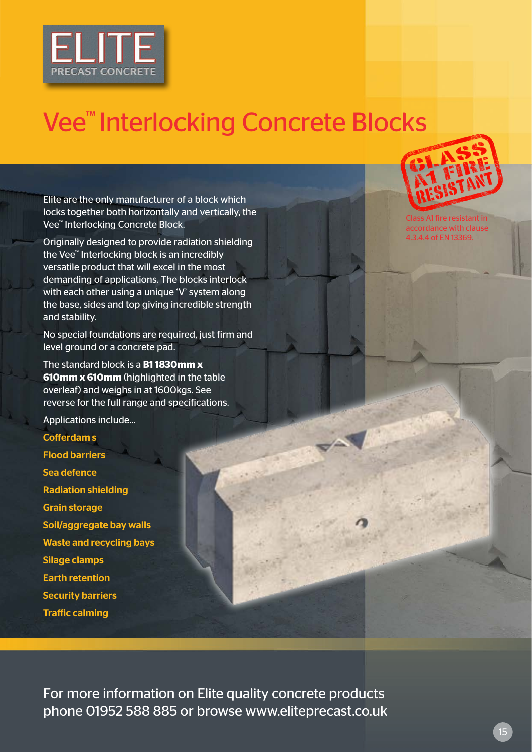

## Vee<sup>™</sup> Interlocking Concrete Blocks

Elite are the only manufacturer of a block which locks together both horizontally and vertically, the Vee™ Interlocking Concrete Block.

Originally designed to provide radiation shielding the Vee™ Interlocking block is an incredibly versatile product that will excel in the most demanding of applications. The blocks interlock with each other using a unique 'V' system along the base, sides and top giving incredible strength and stability.

No special foundations are required, just firm and level ground or a concrete pad.

The standard block is a **B1 1830mm x 610mm x 610mm** (highlighted in the table overleaf) and weighs in at 1600kgs. See reverse for the full range and specifications.

Applications include...

Cofferdam s Flood barriers Sea defence Radiation shielding Grain storage Soil/aggregate bay walls Waste and recycling bays Silage clamps Earth retention Security barriers Traffic calming



Class A1 fire resistant in dance with clause 4.3.4.4 of EN 13369.

For more information on Elite quality concrete products phone 01952 588 885 or browse www.eliteprecast.co.uk